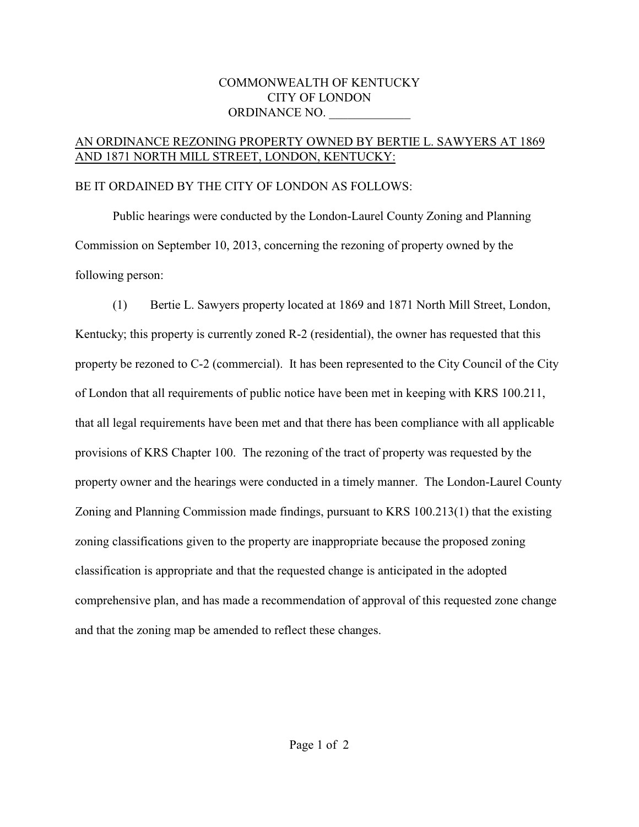## COMMONWEALTH OF KENTUCKY CITY OF LONDON ORDINANCE NO.

## AN ORDINANCE REZONING PROPERTY OWNED BY BERTIE L. SAWYERS AT 1869 AND 1871 NORTH MILL STREET, LONDON, KENTUCKY:

## BE IT ORDAINED BY THE CITY OF LONDON AS FOLLOWS:

Public hearings were conducted by the London-Laurel County Zoning and Planning Commission on September 10, 2013, concerning the rezoning of property owned by the following person:

(1) Bertie L. Sawyers property located at 1869 and 1871 North Mill Street, London, Kentucky; this property is currently zoned R-2 (residential), the owner has requested that this property be rezoned to C-2 (commercial). It has been represented to the City Council of the City of London that all requirements of public notice have been met in keeping with KRS 100.211, that all legal requirements have been met and that there has been compliance with all applicable provisions of KRS Chapter 100. The rezoning of the tract of property was requested by the property owner and the hearings were conducted in a timely manner. The London-Laurel County Zoning and Planning Commission made findings, pursuant to KRS 100.213(1) that the existing zoning classifications given to the property are inappropriate because the proposed zoning classification is appropriate and that the requested change is anticipated in the adopted comprehensive plan, and has made a recommendation of approval of this requested zone change and that the zoning map be amended to reflect these changes.